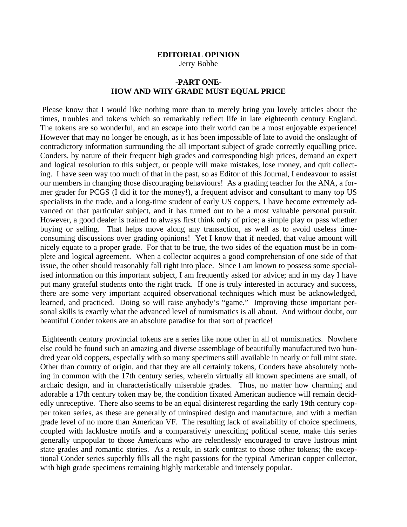## **EDITORIAL OPINION**  Jerry Bobbe

## **-PART ONE-HOW AND WHY GRADE MUST EQUAL PRICE**

 Please know that I would like nothing more than to merely bring you lovely articles about the times, troubles and tokens which so remarkably reflect life in late eighteenth century England. The tokens are so wonderful, and an escape into their world can be a most enjoyable experience! However that may no longer be enough, as it has been impossible of late to avoid the onslaught of contradictory information surrounding the all important subject of grade correctly equalling price. Conders, by nature of their frequent high grades and corresponding high prices, demand an expert and logical resolution to this subject, or people will make mistakes, lose money, and quit collecting. I have seen way too much of that in the past, so as Editor of this Journal, I endeavour to assist our members in changing those discouraging behaviours! As a grading teacher for the ANA, a former grader for PCGS (I did it for the money!), a frequent advisor and consultant to many top US specialists in the trade, and a long-time student of early US coppers, I have become extremely advanced on that particular subject, and it has turned out to be a most valuable personal pursuit. However, a good dealer is trained to always first think only of price; a simple play or pass whether buying or selling. That helps move along any transaction, as well as to avoid useless timeconsuming discussions over grading opinions! Yet I know that if needed, that value amount will nicely equate to a proper grade. For that to be true, the two sides of the equation must be in complete and logical agreement. When a collector acquires a good comprehension of one side of that issue, the other should reasonably fall right into place. Since I am known to possess some specialised information on this important subject, I am frequently asked for advice; and in my day I have put many grateful students onto the right track. If one is truly interested in accuracy and success, there are some very important acquired observational techniques which must be acknowledged, learned, and practiced. Doing so will raise anybody's "game." Improving those important personal skills is exactly what the advanced level of numismatics is all about. And without doubt, our beautiful Conder tokens are an absolute paradise for that sort of practice!

 Eighteenth century provincial tokens are a series like none other in all of numismatics. Nowhere else could be found such an amazing and diverse assemblage of beautifully manufactured two hundred year old coppers, especially with so many specimens still available in nearly or full mint state. Other than country of origin, and that they are all certainly tokens, Conders have absolutely nothing in common with the 17th century series, wherein virtually all known specimens are small, of archaic design, and in characteristically miserable grades. Thus, no matter how charming and adorable a 17th century token may be, the condition fixated American audience will remain decidedly unreceptive. There also seems to be an equal disinterest regarding the early 19th century copper token series, as these are generally of uninspired design and manufacture, and with a median grade level of no more than American VF. The resulting lack of availability of choice specimens, coupled with lacklustre motifs and a comparatively unexciting political scene, make this series generally unpopular to those Americans who are relentlessly encouraged to crave lustrous mint state grades and romantic stories. As a result, in stark contrast to those other tokens; the exceptional Conder series superbly fills all the right passions for the typical American copper collector, with high grade specimens remaining highly marketable and intensely popular.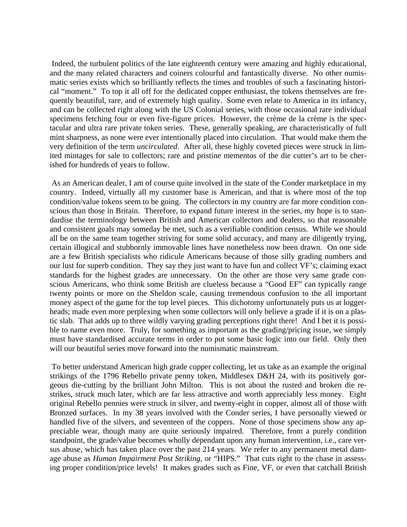Indeed, the turbulent politics of the late eighteenth century were amazing and highly educational, and the many related characters and coiners colourful and fantastically diverse. No other numismatic series exists which so brilliantly reflects the times and troubles of such a fascinating historical "moment." To top it all off for the dedicated copper enthusiast, the tokens themselves are frequently beautiful, rare, and of extremely high quality. Some even relate to America in its infancy, and can be collected right along with the US Colonial series, with those occasional rare individual specimens fetching four or even five-figure prices. However, the crème de la crème is the spectacular and ultra rare private token series. These, generally speaking, are characteristically of full mint sharpness, as none were ever intentionally placed into circulation. That would make them the very definition of the term *uncirculated*. After all, these highly coveted pieces were struck in limited mintages for sale to collectors; rare and pristine mementos of the die cutter's art to be cherished for hundreds of years to follow.

 As an American dealer, I am of course quite involved in the state of the Conder marketplace in my country. Indeed, virtually all my customer base is American, and that is where most of the top condition/value tokens seem to be going. The collectors in my country are far more condition conscious than those in Britain. Therefore, to expand future interest in the series, my hope is to standardise the terminology between British and American collectors and dealers, so that reasonable and consistent goals may someday be met, such as a verifiable condition census. While we should all be on the same team together striving for some solid accuracy, and many are diligently trying, certain illogical and stubbornly immovable lines have nonetheless now been drawn. On one side are a few British specialists who ridicule Americans because of those silly grading numbers and our lust for superb condition. They say they just want to have fun and collect VF's; claiming exact standards for the highest grades are unnecessary. On the other are those very same grade conscious Americans, who think some British are clueless because a "Good EF" can typically range twenty points or more on the Sheldon scale, causing tremendous confusion to the all important money aspect of the game for the top level pieces. This dichotomy unfortunately puts us at loggerheads; made even more perplexing when some collectors will only believe a grade if it is on a plastic slab. That adds up to three wildly varying grading perceptions right there! And I bet it is possible to name even more. Truly, for something as important as the grading/pricing issue, we simply must have standardised accurate terms in order to put some basic logic into our field. Only then will our beautiful series move forward into the numismatic mainstream.

 To better understand American high grade copper collecting, let us take as an example the original strikings of the 1796 Rebello private penny token, Middlesex D&H 24, with its positively gorgeous die-cutting by the brilliant John Milton. This is not about the rusted and broken die restrikes, struck much later, which are far less attractive and worth appreciably less money. Eight original Rebello pennies were struck in silver, and twenty-eight in copper, almost all of those with Bronzed surfaces. In my 38 years involved with the Conder series, I have personally viewed or handled five of the silvers, and seventeen of the coppers. None of those specimens show any appreciable wear, though many are quite seriously impaired. Therefore, from a purely condition standpoint, the grade/value becomes wholly dependant upon any human intervention, i.e., care versus abuse, which has taken place over the past 214 years. We refer to any permanent metal damage abuse as *Human Impairment Post Striking*, or "HIPS." That cuts right to the chase in assessing proper condition/price levels! It makes grades such as Fine, VF, or even that catchall British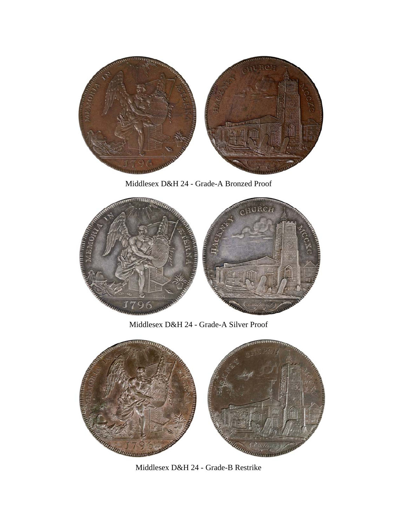

Middlesex D&H 24 - Grade-A Bronzed Proof



Middlesex D&H 24 - Grade-A Silver Proof



Middlesex D&H 24 - Grade-B Restrike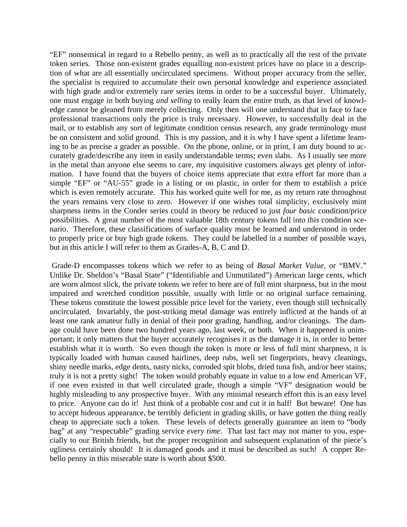"EF" nonsensical in regard to a Rebello penny, as well as to practically all the rest of the private token series. Those non-existent grades equalling non-existent prices have no place in a description of what are all essentially uncirculated specimens. Without proper accuracy from the seller, the specialist is required to accumulate their own personal knowledge and experience associated with high grade and/or extremely rare series items in order to be a successful buyer. Ultimately, one must engage in both buying *and selling* to really learn the entire truth, as that level of knowledge cannot be gleaned from merely collecting. Only then will one understand that in face to face professional transactions only the price is truly necessary. However, to successfully deal in the mail, or to establish any sort of legitimate condition census research, any grade terminology must be on consistent and solid ground. This is my passion, and it is why I have spent a lifetime learning to be as precise a grader as possible. On the phone, online, or in print, I am duty bound to accurately grade/describe any item in easily understandable terms; even slabs. As I usually see more in the metal than anyone else seems to care, my inquisitive customers always get plenty of information. I have found that the buyers of choice items appreciate that extra effort far more than a simple "EF" or "AU-55" grade in a listing or on plastic, in order for them to establish a price which is even remotely accurate. This has worked quite well for me, as my return rate throughout the years remains very close to zero. However if one wishes total simplicity, exclusively mint sharpness items in the Conder series could in theory be reduced to just *four basic* condition/price possibilities. A great number of the most valuable 18th century tokens fall into this condition scenario. Therefore, these classifications of surface quality must be learned and understood in order to properly price or buy high grade tokens. They could be labelled in a number of possible ways, but in this article I will refer to them as Grades-A, B, C and D.

 Grade-D encompasses tokens which we refer to as being of *Basal Market Value*, or "BMV." Unlike Dr. Sheldon's "Basal State" ("Identifiable and Unmutilated") American large cents, which are worn almost slick, the private tokens we refer to here are of full mint sharpness, but in the most impaired and wretched condition possible, usually with little or no original surface remaining. These tokens constitute the lowest possible price level for the variety, even though still technically uncirculated. Invariably, the post-striking metal damage was entirely inflicted at the hands of at least one rank amateur fully in denial of their poor grading, handling, and/or cleanings. The damage could have been done two hundred years ago, last week, or both. When it happened is unimportant; it only matters that the buyer accurately recognises it as the damage it is, in order to better establish what it is worth. So even though the token is more or less of full mint sharpness, it is typically loaded with human caused hairlines, deep rubs, well set fingerprints, heavy cleanings, shiny needle marks, edge dents, nasty nicks, corroded spit blobs, dried tuna fish, and/or beer stains; truly it is not a pretty sight! The token would probably equate in value to a low end American VF, if one even existed in that well circulated grade, though a simple "VF" designation would be highly misleading to any prospective buyer. With any minimal research effort this is an easy level to price. Anyone can do it! Just think of a probable cost and cut it in half! But beware! One has to accept hideous appearance, be terribly deficient in grading skills, or have gotten the thing really cheap to appreciate such a token. These levels of defects generally guarantee an item to "body bag" at any "respectable" grading service *every time*. That last fact may not matter to you, especially to our British friends, but the proper recognition and subsequent explanation of the piece's ugliness certainly should! It is damaged goods and it must be described as such! A copper Rebello penny in this miserable state is worth about \$500.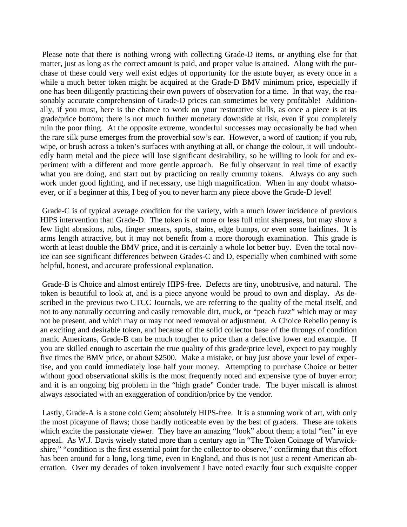Please note that there is nothing wrong with collecting Grade-D items, or anything else for that matter, just as long as the correct amount is paid, and proper value is attained. Along with the purchase of these could very well exist edges of opportunity for the astute buyer, as every once in a while a much better token might be acquired at the Grade-D BMV minimum price, especially if one has been diligently practicing their own powers of observation for a time. In that way, the reasonably accurate comprehension of Grade-D prices can sometimes be very profitable! Additionally, if you must, here is the chance to work on your restorative skills, as once a piece is at its grade/price bottom; there is not much further monetary downside at risk, even if you completely ruin the poor thing. At the opposite extreme, wonderful successes may occasionally be had when the rare silk purse emerges from the proverbial sow's ear. However, a word of caution; if you rub, wipe, or brush across a token's surfaces with anything at all, or change the colour, it will undoubtedly harm metal and the piece will lose significant desirability, so be willing to look for and experiment with a different and more gentle approach. Be fully observant in real time of exactly what you are doing, and start out by practicing on really crummy tokens. Always do any such work under good lighting, and if necessary, use high magnification. When in any doubt whatsoever, or if a beginner at this, I beg of you to never harm any piece above the Grade-D level!

 Grade-C is of typical average condition for the variety, with a much lower incidence of previous HIPS intervention than Grade-D. The token is of more or less full mint sharpness, but may show a few light abrasions, rubs, finger smears, spots, stains, edge bumps, or even some hairlines. It is arms length attractive, but it may not benefit from a more thorough examination. This grade is worth at least double the BMV price, and it is certainly a whole lot better buy. Even the total novice can see significant differences between Grades-C and D, especially when combined with some helpful, honest, and accurate professional explanation.

 Grade-B is Choice and almost entirely HIPS-free. Defects are tiny, unobtrusive, and natural. The token is beautiful to look at, and is a piece anyone would be proud to own and display. As described in the previous two CTCC Journals, we are referring to the quality of the metal itself, and not to any naturally occurring and easily removable dirt, muck, or "peach fuzz" which may or may not be present, and which may or may not need removal or adjustment. A Choice Rebello penny is an exciting and desirable token, and because of the solid collector base of the throngs of condition manic Americans, Grade-B can be much tougher to price than a defective lower end example. If you are skilled enough to ascertain the true quality of this grade/price level, expect to pay roughly five times the BMV price, or about \$2500. Make a mistake, or buy just above your level of expertise, and you could immediately lose half your money. Attempting to purchase Choice or better without good observational skills is the most frequently noted and expensive type of buyer error; and it is an ongoing big problem in the "high grade" Conder trade. The buyer miscall is almost always associated with an exaggeration of condition/price by the vendor.

 Lastly, Grade-A is a stone cold Gem; absolutely HIPS-free. It is a stunning work of art, with only the most picayune of flaws; those hardly noticeable even by the best of graders. These are tokens which excite the passionate viewer. They have an amazing "look" about them; a total "ten" in eye appeal. As W.J. Davis wisely stated more than a century ago in "The Token Coinage of Warwickshire," "condition is the first essential point for the collector to observe," confirming that this effort has been around for a long, long time, even in England, and thus is not just a recent American aberration. Over my decades of token involvement I have noted exactly four such exquisite copper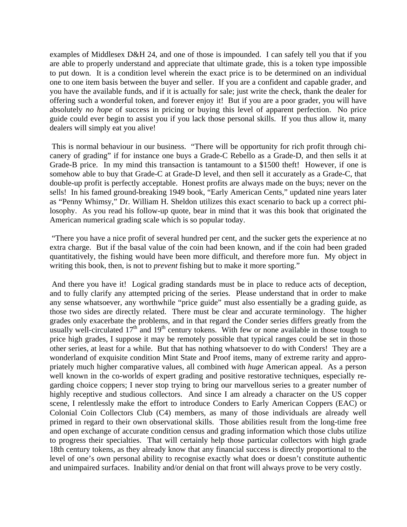examples of Middlesex D&H 24, and one of those is impounded. I can safely tell you that if you are able to properly understand and appreciate that ultimate grade, this is a token type impossible to put down. It is a condition level wherein the exact price is to be determined on an individual one to one item basis between the buyer and seller. If you are a confident and capable grader, and you have the available funds, and if it is actually for sale; just write the check, thank the dealer for offering such a wonderful token, and forever enjoy it! But if you are a poor grader, you will have absolutely *no hope* of success in pricing or buying this level of apparent perfection. No price guide could ever begin to assist you if you lack those personal skills. If you thus allow it, many dealers will simply eat you alive!

 This is normal behaviour in our business. "There will be opportunity for rich profit through chicanery of grading" if for instance one buys a Grade-C Rebello as a Grade-D, and then sells it at Grade-B price. In my mind this transaction is tantamount to a \$1500 theft! However, if one is somehow able to buy that Grade-C at Grade-D level, and then sell it accurately as a Grade-C, that double-up profit is perfectly acceptable. Honest profits are always made on the buys; never on the sells! In his famed ground-breaking 1949 book, "Early American Cents," updated nine years later as "Penny Whimsy," Dr. William H. Sheldon utilizes this exact scenario to back up a correct philosophy. As you read his follow-up quote, bear in mind that it was this book that originated the American numerical grading scale which is so popular today.

 "There you have a nice profit of several hundred per cent, and the sucker gets the experience at no extra charge. But if the basal value of the coin had been known, and if the coin had been graded quantitatively, the fishing would have been more difficult, and therefore more fun. My object in writing this book, then, is not to *prevent* fishing but to make it more sporting."

 And there you have it! Logical grading standards must be in place to reduce acts of deception, and to fully clarify any attempted pricing of the series. Please understand that in order to make any sense whatsoever, any worthwhile "price guide" must also essentially be a grading guide, as those two sides are directly related. There must be clear and accurate terminology. The higher grades only exacerbate the problems, and in that regard the Conder series differs greatly from the usually well-circulated  $17<sup>th</sup>$  and  $19<sup>th</sup>$  century tokens. With few or none available in those tough to price high grades, I suppose it may be remotely possible that typical ranges could be set in those other series, at least for a while. But that has nothing whatsoever to do with Conders! They are a wonderland of exquisite condition Mint State and Proof items, many of extreme rarity and appropriately much higher comparative values, all combined with *huge* American appeal. As a person well known in the co-worlds of expert grading and positive restorative techniques, especially regarding choice coppers; I never stop trying to bring our marvellous series to a greater number of highly receptive and studious collectors. And since I am already a character on the US copper scene, I relentlessly make the effort to introduce Conders to Early American Coppers (EAC) or Colonial Coin Collectors Club (C4) members, as many of those individuals are already well primed in regard to their own observational skills. Those abilities result from the long-time free and open exchange of accurate condition census and grading information which those clubs utilize to progress their specialties. That will certainly help those particular collectors with high grade 18th century tokens, as they already know that any financial success is directly proportional to the level of one's own personal ability to recognise exactly what does or doesn't constitute authentic and unimpaired surfaces. Inability and/or denial on that front will always prove to be very costly.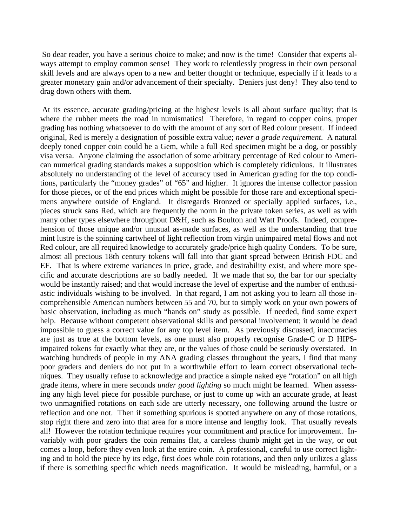So dear reader, you have a serious choice to make; and now is the time! Consider that experts always attempt to employ common sense! They work to relentlessly progress in their own personal skill levels and are always open to a new and better thought or technique, especially if it leads to a greater monetary gain and/or advancement of their specialty. Deniers just deny! They also tend to drag down others with them.

 At its essence, accurate grading/pricing at the highest levels is all about surface quality; that is where the rubber meets the road in numismatics! Therefore, in regard to copper coins, proper grading has nothing whatsoever to do with the amount of any sort of Red colour present. If indeed original, Red is merely a designation of possible extra value; *never a grade requirement*. A natural deeply toned copper coin could be a Gem, while a full Red specimen might be a dog, or possibly visa versa. Anyone claiming the association of some arbitrary percentage of Red colour to American numerical grading standards makes a supposition which is completely ridiculous. It illustrates absolutely no understanding of the level of accuracy used in American grading for the top conditions, particularly the "money grades" of "65" and higher. It ignores the intense collector passion for those pieces, or of the end prices which might be possible for those rare and exceptional specimens anywhere outside of England. It disregards Bronzed or specially applied surfaces, i.e., pieces struck sans Red, which are frequently the norm in the private token series, as well as with many other types elsewhere throughout D&H, such as Boulton and Watt Proofs. Indeed, comprehension of those unique and/or unusual as-made surfaces, as well as the understanding that true mint lustre is the spinning cartwheel of light reflection from virgin unimpaired metal flows and not Red colour, are all required knowledge to accurately grade/price high quality Conders. To be sure, almost all precious 18th century tokens will fall into that giant spread between British FDC and EF. That is where extreme variances in price, grade, and desirability exist, and where more specific and accurate descriptions are so badly needed. If we made that so, the bar for our specialty would be instantly raised; and that would increase the level of expertise and the number of enthusiastic individuals wishing to be involved. In that regard, I am not asking you to learn all those incomprehensible American numbers between 55 and 70, but to simply work on your own powers of basic observation, including as much "hands on" study as possible. If needed, find some expert help. Because without competent observational skills and personal involvement; it would be dead impossible to guess a correct value for any top level item. As previously discussed, inaccuracies are just as true at the bottom levels, as one must also properly recognise Grade-C or D HIPSimpaired tokens for exactly what they are, or the values of those could be seriously overstated. In watching hundreds of people in my ANA grading classes throughout the years, I find that many poor graders and deniers do not put in a worthwhile effort to learn correct observational techniques. They usually refuse to acknowledge and practice a simple naked eye "rotation" on all high grade items, where in mere seconds *under good lighting* so much might be learned. When assessing any high level piece for possible purchase, or just to come up with an accurate grade, at least two unmagnified rotations on each side are utterly necessary, one following around the lustre or reflection and one not. Then if something spurious is spotted anywhere on any of those rotations, stop right there and zero into that area for a more intense and lengthy look. That usually reveals all! However the rotation technique requires your commitment and practice for improvement. Invariably with poor graders the coin remains flat, a careless thumb might get in the way, or out comes a loop, before they even look at the entire coin. A professional, careful to use correct lighting and to hold the piece by its edge, first does whole coin rotations, and then only utilizes a glass if there is something specific which needs magnification. It would be misleading, harmful, or a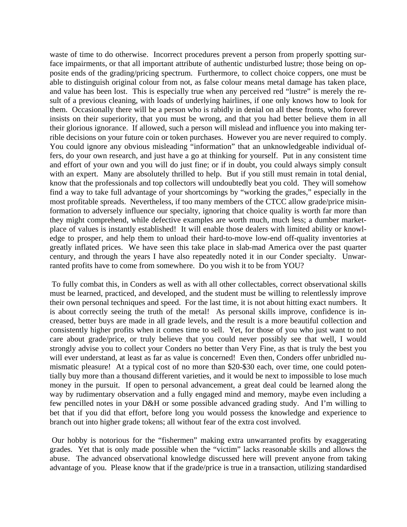waste of time to do otherwise. Incorrect procedures prevent a person from properly spotting surface impairments, or that all important attribute of authentic undisturbed lustre; those being on opposite ends of the grading/pricing spectrum. Furthermore, to collect choice coppers, one must be able to distinguish original colour from not, as false colour means metal damage has taken place, and value has been lost. This is especially true when any perceived red "lustre" is merely the result of a previous cleaning, with loads of underlying hairlines, if one only knows how to look for them. Occasionally there will be a person who is rabidly in denial on all these fronts, who forever insists on their superiority, that you must be wrong, and that you had better believe them in all their glorious ignorance. If allowed, such a person will mislead and influence you into making terrible decisions on your future coin or token purchases. However you are never required to comply. You could ignore any obvious misleading "information" that an unknowledgeable individual offers, do your own research, and just have a go at thinking for yourself. Put in any consistent time and effort of your own and you will do just fine; or if in doubt, you could always simply consult with an expert. Many are absolutely thrilled to help. But if you still must remain in total denial, know that the professionals and top collectors will undoubtedly beat you cold. They will somehow find a way to take full advantage of your shortcomings by "working the grades," especially in the most profitable spreads. Nevertheless, if too many members of the CTCC allow grade/price misinformation to adversely influence our specialty, ignoring that choice quality is worth far more than they might comprehend, while defective examples are worth much, much less; a dumber marketplace of values is instantly established! It will enable those dealers with limited ability or knowledge to prosper, and help them to unload their hard-to-move low-end off-quality inventories at greatly inflated prices. We have seen this take place in slab-mad America over the past quarter century, and through the years I have also repeatedly noted it in our Conder specialty. Unwarranted profits have to come from somewhere. Do you wish it to be from YOU?

 To fully combat this, in Conders as well as with all other collectables, correct observational skills must be learned, practiced, and developed, and the student must be willing to relentlessly improve their own personal techniques and speed. For the last time, it is not about hitting exact numbers. It is about correctly seeing the truth of the metal! As personal skills improve, confidence is increased, better buys are made in all grade levels, and the result is a more beautiful collection and consistently higher profits when it comes time to sell. Yet, for those of you who just want to not care about grade/price, or truly believe that you could never possibly see that well, I would strongly advise you to collect your Conders no better than Very Fine, as that is truly the best you will ever understand, at least as far as value is concerned! Even then, Conders offer unbridled numismatic pleasure! At a typical cost of no more than \$20-\$30 each, over time, one could potentially buy more than a thousand different varieties, and it would be next to impossible to lose much money in the pursuit. If open to personal advancement, a great deal could be learned along the way by rudimentary observation and a fully engaged mind and memory, maybe even including a few pencilled notes in your D&H or some possible advanced grading study. And I'm willing to bet that if you did that effort, before long you would possess the knowledge and experience to branch out into higher grade tokens; all without fear of the extra cost involved.

 Our hobby is notorious for the "fishermen" making extra unwarranted profits by exaggerating grades. Yet that is only made possible when the "victim" lacks reasonable skills and allows the abuse. The advanced observational knowledge discussed here will prevent anyone from taking advantage of you. Please know that if the grade/price is true in a transaction, utilizing standardised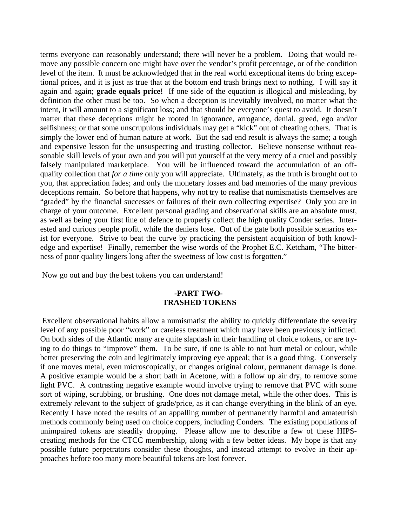terms everyone can reasonably understand; there will never be a problem. Doing that would remove any possible concern one might have over the vendor's profit percentage, or of the condition level of the item. It must be acknowledged that in the real world exceptional items do bring exceptional prices, and it is just as true that at the bottom end trash brings next to nothing. I will say it again and again; **grade equals price!** If one side of the equation is illogical and misleading, by definition the other must be too. So when a deception is inevitably involved, no matter what the intent, it will amount to a significant loss; and that should be everyone's quest to avoid. It doesn't matter that these deceptions might be rooted in ignorance, arrogance, denial, greed, ego and/or selfishness; or that some unscrupulous individuals may get a "kick" out of cheating others. That is simply the lower end of human nature at work. But the sad end result is always the same; a tough and expensive lesson for the unsuspecting and trusting collector. Believe nonsense without reasonable skill levels of your own and you will put yourself at the very mercy of a cruel and possibly falsely manipulated marketplace. You will be influenced toward the accumulation of an offquality collection that *for a time* only you will appreciate. Ultimately, as the truth is brought out to you, that appreciation fades; and only the monetary losses and bad memories of the many previous deceptions remain. So before that happens, why not try to realise that numismatists themselves are "graded" by the financial successes or failures of their own collecting expertise? Only you are in charge of your outcome. Excellent personal grading and observational skills are an absolute must, as well as being your first line of defence to properly collect the high quality Conder series. Interested and curious people profit, while the deniers lose. Out of the gate both possible scenarios exist for everyone. Strive to beat the curve by practicing the persistent acquisition of both knowledge and expertise! Finally, remember the wise words of the Prophet E.C. Ketcham, "The bitterness of poor quality lingers long after the sweetness of low cost is forgotten."

Now go out and buy the best tokens you can understand!

## **-PART TWO- TRASHED TOKENS**

 Excellent observational habits allow a numismatist the ability to quickly differentiate the severity level of any possible poor "work" or careless treatment which may have been previously inflicted. On both sides of the Atlantic many are quite slapdash in their handling of choice tokens, or are trying to do things to "improve" them. To be sure, if one is able to not hurt metal or colour, while better preserving the coin and legitimately improving eye appeal; that is a good thing. Conversely if one moves metal, even microscopically, or changes original colour, permanent damage is done. A positive example would be a short bath in Acetone, with a follow up air dry, to remove some light PVC. A contrasting negative example would involve trying to remove that PVC with some sort of wiping, scrubbing, or brushing. One does not damage metal, while the other does. This is extremely relevant to the subject of grade/price, as it can change everything in the blink of an eye. Recently I have noted the results of an appalling number of permanently harmful and amateurish methods commonly being used on choice coppers, including Conders. The existing populations of unimpaired tokens are steadily dropping. Please allow me to describe a few of these HIPScreating methods for the CTCC membership, along with a few better ideas. My hope is that any possible future perpetrators consider these thoughts, and instead attempt to evolve in their approaches before too many more beautiful tokens are lost forever.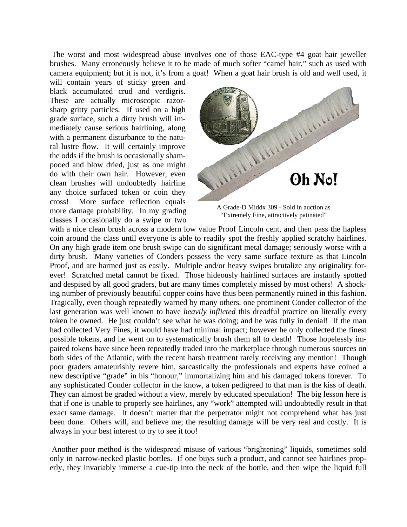The worst and most widespread abuse involves one of those EAC-type #4 goat hair jeweller brushes. Many erroneously believe it to be made of much softer "camel hair," such as used with camera equipment; but it is not, it's from a goat! When a goat hair brush is old and well used, it

will contain years of sticky green and black accumulated crud and verdigris. These are actually microscopic razorsharp gritty particles. If used on a high grade surface, such a dirty brush will immediately cause serious hairlining, along with a permanent disturbance to the natural lustre flow. It will certainly improve the odds if the brush is occasionally shampooed and blow dried, just as one might do with their own hair. However, even clean brushes will undoubtedly hairline any choice surfaced token or coin they cross! More surface reflection equals more damage probability. In my grading classes I occasionally do a swipe or two



A Grade-D Middx 309 - Sold in auction as "Extremely Fine, attractively patinated"

with a nice clean brush across a modern low value Proof Lincoln cent, and then pass the hapless coin around the class until everyone is able to readily spot the freshly applied scratchy hairlines. On any high grade item one brush swipe can do significant metal damage; seriously worse with a dirty brush. Many varieties of Conders possess the very same surface texture as that Lincoln Proof, and are harmed just as easily. Multiple and/or heavy swipes brutalize any originality forever! Scratched metal cannot be fixed. Those hideously hairlined surfaces are instantly spotted and despised by all good graders, but are many times completely missed by most others! A shocking number of previously beautiful copper coins have thus been permanently ruined in this fashion. Tragically, even though repeatedly warned by many others, one prominent Conder collector of the last generation was well known to have *heavily inflicted* this dreadful practice on literally every token he owned. He just couldn't see what he was doing; and he was fully in denial! If the man had collected Very Fines, it would have had minimal impact; however he only collected the finest possible tokens, and he went on to systematically brush them all to death! Those hopelessly impaired tokens have since been repeatedly traded into the marketplace through numerous sources on both sides of the Atlantic, with the recent harsh treatment rarely receiving any mention! Though poor graders amateurishly revere him, sarcastically the professionals and experts have coined a new descriptive "grade" in his "honour," immortalizing him and his damaged tokens forever. To any sophisticated Conder collector in the know, a token pedigreed to that man is the kiss of death. They can almost be graded without a view, merely by educated speculation! The big lesson here is that if one is unable to properly see hairlines, any "work" attempted will undoubtedly result in that exact same damage. It doesn't matter that the perpetrator might not comprehend what has just been done. Others will, and believe me; the resulting damage will be very real and costly. It is always in your best interest to try to see it too!

 Another poor method is the widespread misuse of various "brightening" liquids, sometimes sold only in narrow-necked plastic bottles. If one buys such a product, and cannot see hairlines properly, they invariably immerse a cue-tip into the neck of the bottle, and then wipe the liquid full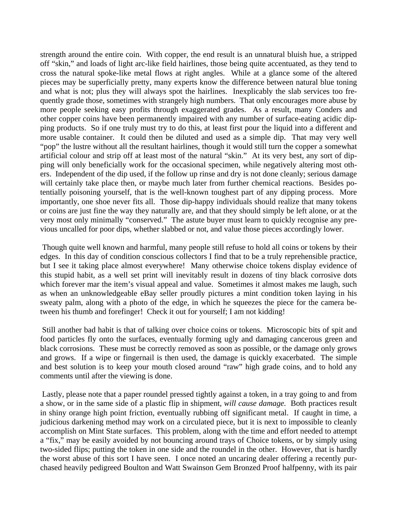strength around the entire coin. With copper, the end result is an unnatural bluish hue, a stripped off "skin," and loads of light arc-like field hairlines, those being quite accentuated, as they tend to cross the natural spoke-like metal flows at right angles. While at a glance some of the altered pieces may be superficially pretty, many experts know the difference between natural blue toning and what is not; plus they will always spot the hairlines. Inexplicably the slab services too frequently grade those, sometimes with strangely high numbers. That only encourages more abuse by more people seeking easy profits through exaggerated grades. As a result, many Conders and other copper coins have been permanently impaired with any number of surface-eating acidic dipping products. So if one truly must try to do this, at least first pour the liquid into a different and more usable container. It could then be diluted and used as a simple dip. That may very well "pop" the lustre without all the resultant hairlines, though it would still turn the copper a somewhat artificial colour and strip off at least most of the natural "skin." At its very best, any sort of dipping will only beneficially work for the occasional specimen, while negatively altering most others. Independent of the dip used, if the follow up rinse and dry is not done cleanly; serious damage will certainly take place then, or maybe much later from further chemical reactions. Besides potentially poisoning yourself, that is the well-known toughest part of any dipping process. More importantly, one shoe never fits all. Those dip-happy individuals should realize that many tokens or coins are just fine the way they naturally are, and that they should simply be left alone, or at the very most only minimally "conserved." The astute buyer must learn to quickly recognise any previous uncalled for poor dips, whether slabbed or not, and value those pieces accordingly lower.

 Though quite well known and harmful, many people still refuse to hold all coins or tokens by their edges. In this day of condition conscious collectors I find that to be a truly reprehensible practice, but I see it taking place almost everywhere! Many otherwise choice tokens display evidence of this stupid habit, as a well set print will inevitably result in dozens of tiny black corrosive dots which forever mar the item's visual appeal and value. Sometimes it almost makes me laugh, such as when an unknowledgeable eBay seller proudly pictures a mint condition token laying in his sweaty palm, along with a photo of the edge, in which he squeezes the piece for the camera between his thumb and forefinger! Check it out for yourself; I am not kidding!

 Still another bad habit is that of talking over choice coins or tokens. Microscopic bits of spit and food particles fly onto the surfaces, eventually forming ugly and damaging cancerous green and black corrosions. These must be correctly removed as soon as possible, or the damage only grows and grows. If a wipe or fingernail is then used, the damage is quickly exacerbated. The simple and best solution is to keep your mouth closed around "raw" high grade coins, and to hold any comments until after the viewing is done.

 Lastly, please note that a paper roundel pressed tightly against a token, in a tray going to and from a show, or in the same side of a plastic flip in shipment, *will cause damage.* Both practices result in shiny orange high point friction, eventually rubbing off significant metal. If caught in time, a judicious darkening method may work on a circulated piece, but it is next to impossible to cleanly accomplish on Mint State surfaces. This problem, along with the time and effort needed to attempt a "fix," may be easily avoided by not bouncing around trays of Choice tokens, or by simply using two-sided flips; putting the token in one side and the roundel in the other. However, that is hardly the worst abuse of this sort I have seen. I once noted an uncaring dealer offering a recently purchased heavily pedigreed Boulton and Watt Swainson Gem Bronzed Proof halfpenny, with its pair